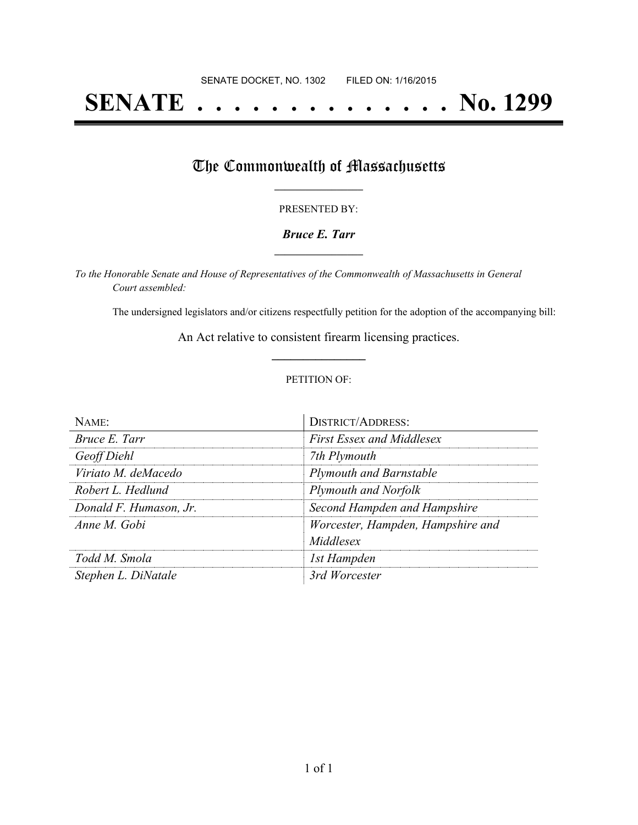# **SENATE . . . . . . . . . . . . . . No. 1299**

## The Commonwealth of Massachusetts

#### PRESENTED BY:

#### *Bruce E. Tarr* **\_\_\_\_\_\_\_\_\_\_\_\_\_\_\_\_\_**

*To the Honorable Senate and House of Representatives of the Commonwealth of Massachusetts in General Court assembled:*

The undersigned legislators and/or citizens respectfully petition for the adoption of the accompanying bill:

An Act relative to consistent firearm licensing practices. **\_\_\_\_\_\_\_\_\_\_\_\_\_\_\_**

#### PETITION OF:

| $N$ AME:               | <b>DISTRICT/ADDRESS:</b>          |
|------------------------|-----------------------------------|
| Bruce E. Tarr          | <b>First Essex and Middlesex</b>  |
| Geoff Diehl            | 7th Plymouth                      |
| Viriato M. deMacedo    | <b>Plymouth and Barnstable</b>    |
| Robert L. Hedlund      | Plymouth and Norfolk              |
| Donald F. Humason, Jr. | Second Hampden and Hampshire      |
| Anne M Gobi            | Worcester, Hampden, Hampshire and |
|                        | Middlesex                         |
| Todd M. Smola          | 1st Hampden                       |
| Stephen L. DiNatale    | 3rd Worcester                     |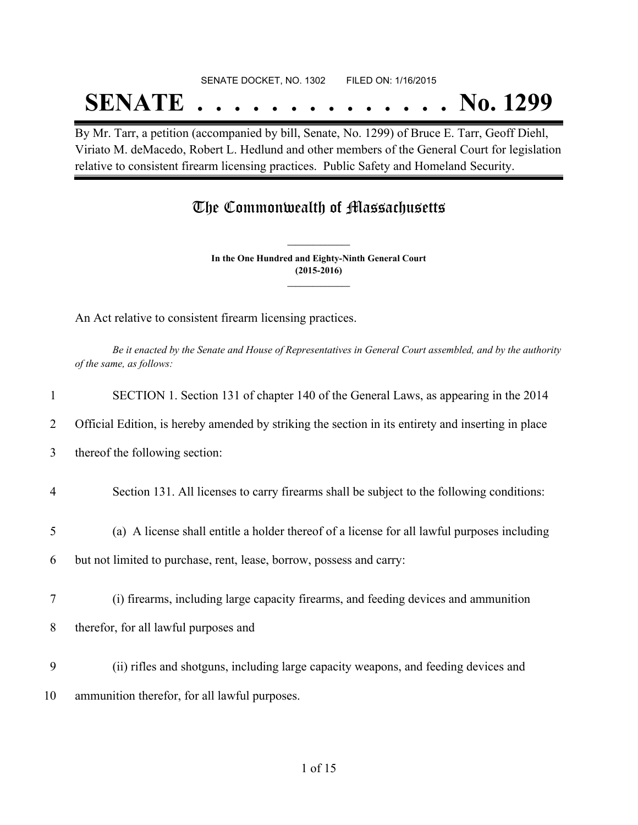## SENATE DOCKET, NO. 1302 FILED ON: 1/16/2015 **SENATE . . . . . . . . . . . . . . No. 1299**

By Mr. Tarr, a petition (accompanied by bill, Senate, No. 1299) of Bruce E. Tarr, Geoff Diehl, Viriato M. deMacedo, Robert L. Hedlund and other members of the General Court for legislation relative to consistent firearm licensing practices. Public Safety and Homeland Security.

## The Commonwealth of Massachusetts

**In the One Hundred and Eighty-Ninth General Court (2015-2016) \_\_\_\_\_\_\_\_\_\_\_\_\_\_\_**

**\_\_\_\_\_\_\_\_\_\_\_\_\_\_\_**

An Act relative to consistent firearm licensing practices.

Be it enacted by the Senate and House of Representatives in General Court assembled, and by the authority *of the same, as follows:*

| 1  | SECTION 1. Section 131 of chapter 140 of the General Laws, as appearing in the 2014                |
|----|----------------------------------------------------------------------------------------------------|
| 2  | Official Edition, is hereby amended by striking the section in its entirety and inserting in place |
| 3  | thereof the following section:                                                                     |
| 4  | Section 131. All licenses to carry firearms shall be subject to the following conditions:          |
| 5  | (a) A license shall entitle a holder thereof of a license for all lawful purposes including        |
| 6  | but not limited to purchase, rent, lease, borrow, possess and carry:                               |
| 7  | (i) firearms, including large capacity firearms, and feeding devices and ammunition                |
| 8  | therefor, for all lawful purposes and                                                              |
| 9  | (ii) rifles and shotguns, including large capacity weapons, and feeding devices and                |
| 10 | ammunition therefor, for all lawful purposes.                                                      |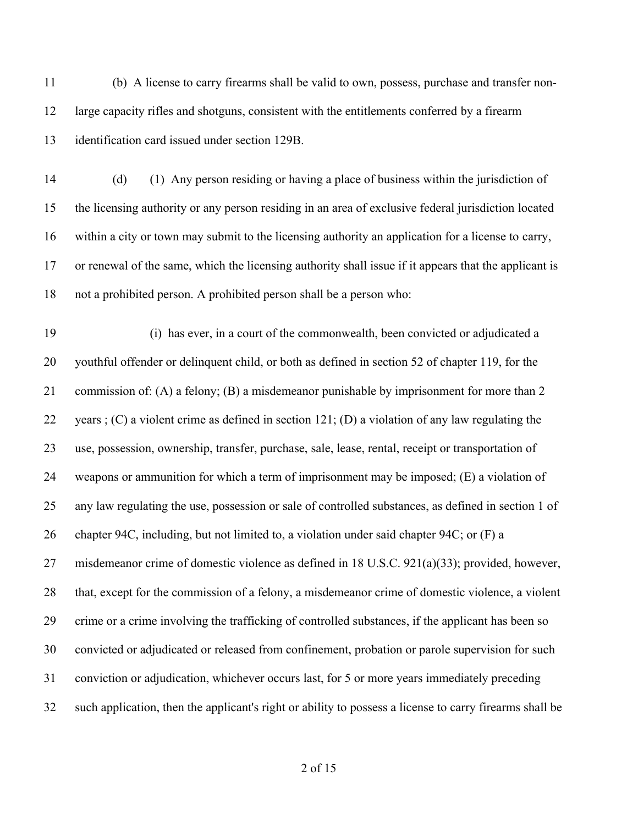(b) A license to carry firearms shall be valid to own, possess, purchase and transfer non- large capacity rifles and shotguns, consistent with the entitlements conferred by a firearm identification card issued under section 129B.

 (d) (1) Any person residing or having a place of business within the jurisdiction of the licensing authority or any person residing in an area of exclusive federal jurisdiction located within a city or town may submit to the licensing authority an application for a license to carry, or renewal of the same, which the licensing authority shall issue if it appears that the applicant is not a prohibited person. A prohibited person shall be a person who:

 (i) has ever, in a court of the commonwealth, been convicted or adjudicated a youthful offender or delinquent child, or both as defined in section 52 of chapter 119, for the commission of: (A) a felony; (B) a misdemeanor punishable by imprisonment for more than 2 22 years ; (C) a violent crime as defined in section 121; (D) a violation of any law regulating the use, possession, ownership, transfer, purchase, sale, lease, rental, receipt or transportation of weapons or ammunition for which a term of imprisonment may be imposed; (E) a violation of any law regulating the use, possession or sale of controlled substances, as defined in section 1 of chapter 94C, including, but not limited to, a violation under said chapter 94C; or (F) a misdemeanor crime of domestic violence as defined in 18 U.S.C. 921(a)(33); provided, however, that, except for the commission of a felony, a misdemeanor crime of domestic violence, a violent crime or a crime involving the trafficking of controlled substances, if the applicant has been so convicted or adjudicated or released from confinement, probation or parole supervision for such conviction or adjudication, whichever occurs last, for 5 or more years immediately preceding such application, then the applicant's right or ability to possess a license to carry firearms shall be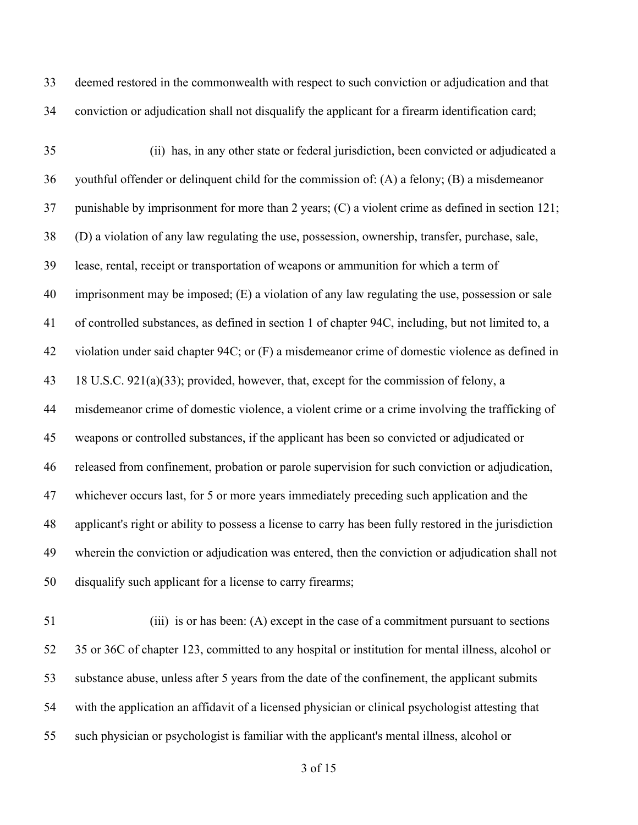deemed restored in the commonwealth with respect to such conviction or adjudication and that conviction or adjudication shall not disqualify the applicant for a firearm identification card;

 (ii) has, in any other state or federal jurisdiction, been convicted or adjudicated a youthful offender or delinquent child for the commission of: (A) a felony; (B) a misdemeanor punishable by imprisonment for more than 2 years; (C) a violent crime as defined in section 121; (D) a violation of any law regulating the use, possession, ownership, transfer, purchase, sale, lease, rental, receipt or transportation of weapons or ammunition for which a term of imprisonment may be imposed; (E) a violation of any law regulating the use, possession or sale of controlled substances, as defined in section 1 of chapter 94C, including, but not limited to, a violation under said chapter 94C; or (F) a misdemeanor crime of domestic violence as defined in 18 U.S.C. 921(a)(33); provided, however, that, except for the commission of felony, a misdemeanor crime of domestic violence, a violent crime or a crime involving the trafficking of weapons or controlled substances, if the applicant has been so convicted or adjudicated or released from confinement, probation or parole supervision for such conviction or adjudication, whichever occurs last, for 5 or more years immediately preceding such application and the applicant's right or ability to possess a license to carry has been fully restored in the jurisdiction wherein the conviction or adjudication was entered, then the conviction or adjudication shall not disqualify such applicant for a license to carry firearms;

 (iii) is or has been: (A) except in the case of a commitment pursuant to sections 35 or 36C of chapter 123, committed to any hospital or institution for mental illness, alcohol or substance abuse, unless after 5 years from the date of the confinement, the applicant submits with the application an affidavit of a licensed physician or clinical psychologist attesting that such physician or psychologist is familiar with the applicant's mental illness, alcohol or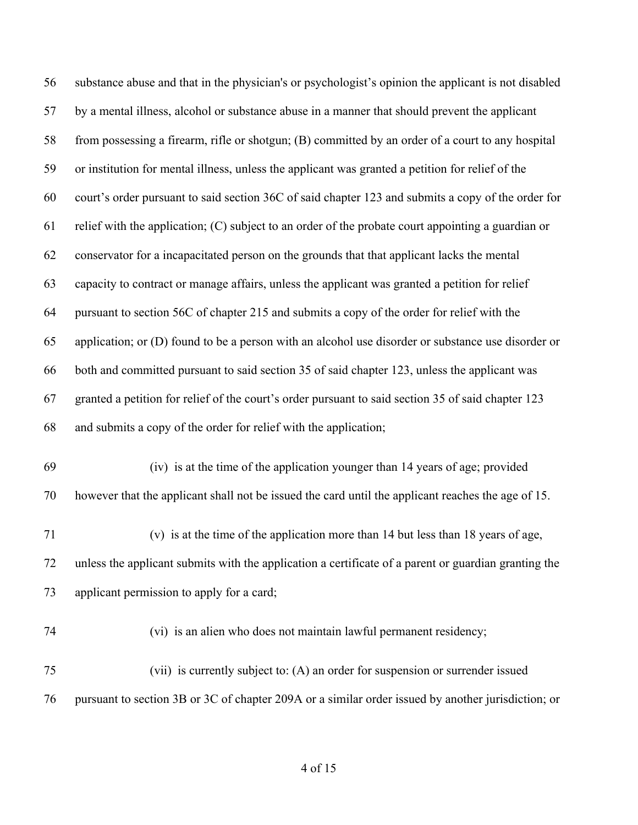| 56 | substance abuse and that in the physician's or psychologist's opinion the applicant is not disabled  |
|----|------------------------------------------------------------------------------------------------------|
| 57 | by a mental illness, alcohol or substance abuse in a manner that should prevent the applicant        |
| 58 | from possessing a firearm, rifle or shotgun; (B) committed by an order of a court to any hospital    |
| 59 | or institution for mental illness, unless the applicant was granted a petition for relief of the     |
| 60 | court's order pursuant to said section 36C of said chapter 123 and submits a copy of the order for   |
| 61 | relief with the application; (C) subject to an order of the probate court appointing a guardian or   |
| 62 | conservator for a incapacitated person on the grounds that that applicant lacks the mental           |
| 63 | capacity to contract or manage affairs, unless the applicant was granted a petition for relief       |
| 64 | pursuant to section 56C of chapter 215 and submits a copy of the order for relief with the           |
| 65 | application; or (D) found to be a person with an alcohol use disorder or substance use disorder or   |
| 66 | both and committed pursuant to said section 35 of said chapter 123, unless the applicant was         |
| 67 | granted a petition for relief of the court's order pursuant to said section 35 of said chapter 123   |
| 68 | and submits a copy of the order for relief with the application;                                     |
| 69 | (iv) is at the time of the application younger than 14 years of age; provided                        |
| 70 | however that the applicant shall not be issued the card until the applicant reaches the age of 15.   |
| 71 | (v) is at the time of the application more than 14 but less than 18 years of age,                    |
| 72 | unless the applicant submits with the application a certificate of a parent or guardian granting the |
| 73 | applicant permission to apply for a card;                                                            |
| 74 | (vi) is an alien who does not maintain lawful permanent residency;                                   |
| 75 | (vii) is currently subject to: (A) an order for suspension or surrender issued                       |
| 76 | pursuant to section 3B or 3C of chapter 209A or a similar order issued by another jurisdiction; or   |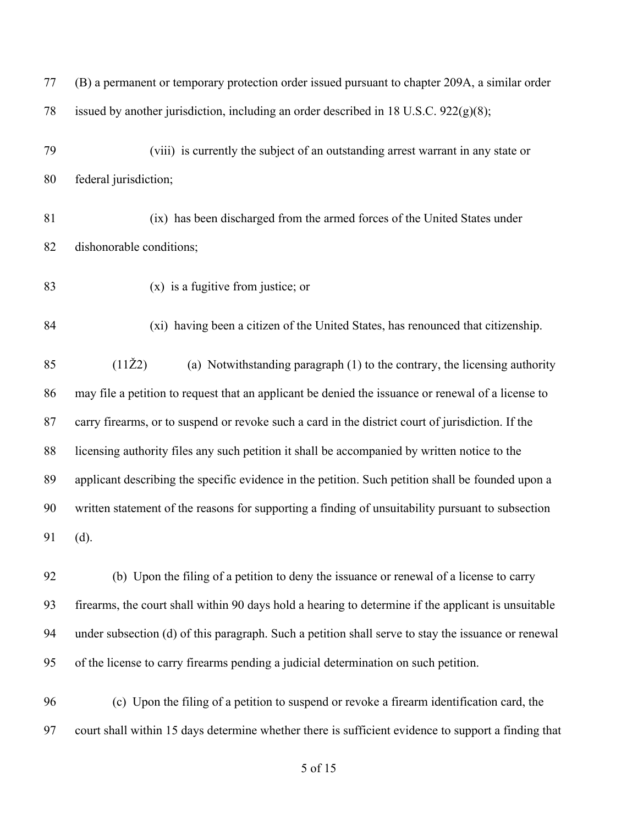| 77 | (B) a permanent or temporary protection order issued pursuant to chapter 209A, a similar order      |
|----|-----------------------------------------------------------------------------------------------------|
| 78 | issued by another jurisdiction, including an order described in 18 U.S.C. 922(g)(8);                |
| 79 | (viii) is currently the subject of an outstanding arrest warrant in any state or                    |
| 80 | federal jurisdiction;                                                                               |
| 81 | (ix) has been discharged from the armed forces of the United States under                           |
| 82 | dishonorable conditions;                                                                            |
| 83 | $(x)$ is a fugitive from justice; or                                                                |
| 84 | (xi) having been a citizen of the United States, has renounced that citizenship.                    |
| 85 | $(11\check{Z}2)$<br>(a) Notwithstanding paragraph (1) to the contrary, the licensing authority      |
| 86 | may file a petition to request that an applicant be denied the issuance or renewal of a license to  |
| 87 | carry firearms, or to suspend or revoke such a card in the district court of jurisdiction. If the   |
| 88 | licensing authority files any such petition it shall be accompanied by written notice to the        |
| 89 | applicant describing the specific evidence in the petition. Such petition shall be founded upon a   |
| 90 | written statement of the reasons for supporting a finding of unsuitability pursuant to subsection   |
| 91 | (d).                                                                                                |
| 92 | (b) Upon the filing of a petition to deny the issuance or renewal of a license to carry             |
| 93 | firearms, the court shall within 90 days hold a hearing to determine if the applicant is unsuitable |
| 94 | under subsection (d) of this paragraph. Such a petition shall serve to stay the issuance or renewal |
| 95 | of the license to carry firearms pending a judicial determination on such petition.                 |
| 96 | (c) Upon the filing of a petition to suspend or revoke a firearm identification card, the           |
| 97 | court shall within 15 days determine whether there is sufficient evidence to support a finding that |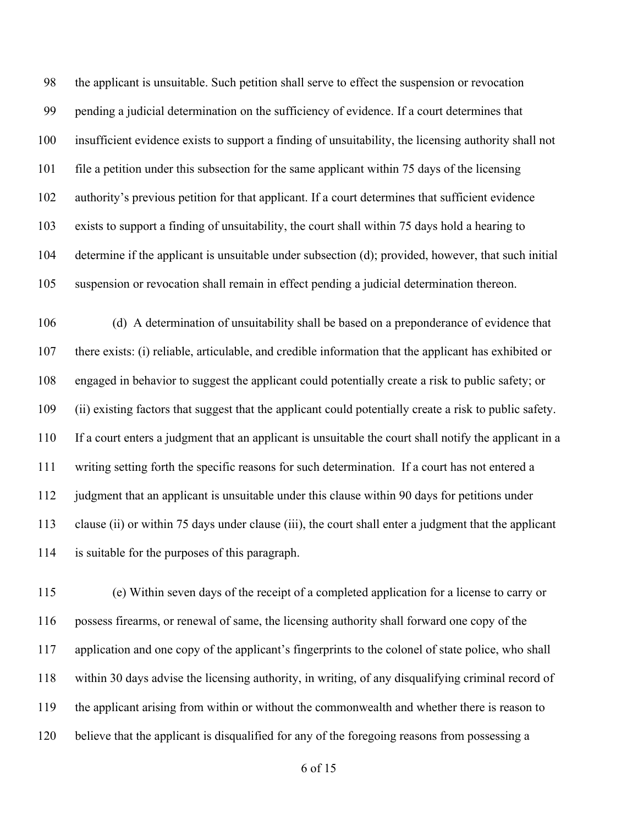the applicant is unsuitable. Such petition shall serve to effect the suspension or revocation pending a judicial determination on the sufficiency of evidence. If a court determines that insufficient evidence exists to support a finding of unsuitability, the licensing authority shall not file a petition under this subsection for the same applicant within 75 days of the licensing authority's previous petition for that applicant. If a court determines that sufficient evidence exists to support a finding of unsuitability, the court shall within 75 days hold a hearing to determine if the applicant is unsuitable under subsection (d); provided, however, that such initial suspension or revocation shall remain in effect pending a judicial determination thereon.

 (d) A determination of unsuitability shall be based on a preponderance of evidence that there exists: (i) reliable, articulable, and credible information that the applicant has exhibited or engaged in behavior to suggest the applicant could potentially create a risk to public safety; or (ii) existing factors that suggest that the applicant could potentially create a risk to public safety. If a court enters a judgment that an applicant is unsuitable the court shall notify the applicant in a writing setting forth the specific reasons for such determination. If a court has not entered a judgment that an applicant is unsuitable under this clause within 90 days for petitions under clause (ii) or within 75 days under clause (iii), the court shall enter a judgment that the applicant is suitable for the purposes of this paragraph.

 (e) Within seven days of the receipt of a completed application for a license to carry or possess firearms, or renewal of same, the licensing authority shall forward one copy of the application and one copy of the applicant's fingerprints to the colonel of state police, who shall within 30 days advise the licensing authority, in writing, of any disqualifying criminal record of the applicant arising from within or without the commonwealth and whether there is reason to believe that the applicant is disqualified for any of the foregoing reasons from possessing a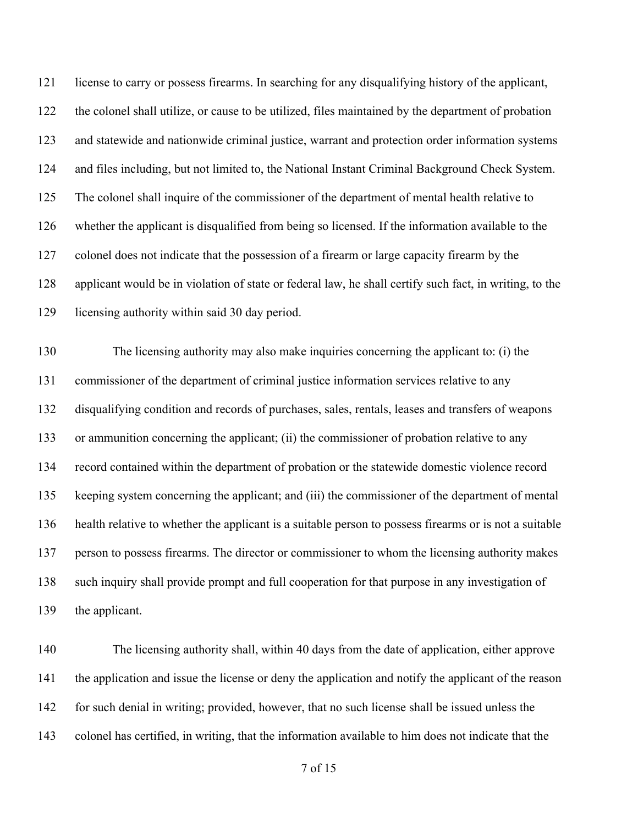license to carry or possess firearms. In searching for any disqualifying history of the applicant, the colonel shall utilize, or cause to be utilized, files maintained by the department of probation and statewide and nationwide criminal justice, warrant and protection order information systems and files including, but not limited to, the National Instant Criminal Background Check System. The colonel shall inquire of the commissioner of the department of mental health relative to whether the applicant is disqualified from being so licensed. If the information available to the colonel does not indicate that the possession of a firearm or large capacity firearm by the applicant would be in violation of state or federal law, he shall certify such fact, in writing, to the licensing authority within said 30 day period. The licensing authority may also make inquiries concerning the applicant to: (i) the commissioner of the department of criminal justice information services relative to any disqualifying condition and records of purchases, sales, rentals, leases and transfers of weapons or ammunition concerning the applicant; (ii) the commissioner of probation relative to any record contained within the department of probation or the statewide domestic violence record keeping system concerning the applicant; and (iii) the commissioner of the department of mental health relative to whether the applicant is a suitable person to possess firearms or is not a suitable person to possess firearms. The director or commissioner to whom the licensing authority makes such inquiry shall provide prompt and full cooperation for that purpose in any investigation of

the applicant.

 The licensing authority shall, within 40 days from the date of application, either approve the application and issue the license or deny the application and notify the applicant of the reason for such denial in writing; provided, however, that no such license shall be issued unless the colonel has certified, in writing, that the information available to him does not indicate that the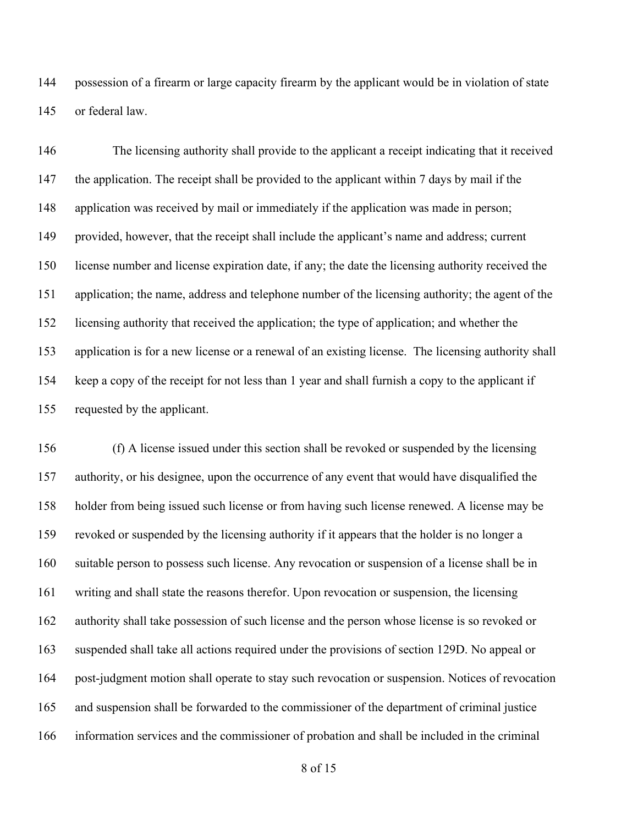possession of a firearm or large capacity firearm by the applicant would be in violation of state or federal law.

 The licensing authority shall provide to the applicant a receipt indicating that it received the application. The receipt shall be provided to the applicant within 7 days by mail if the application was received by mail or immediately if the application was made in person; provided, however, that the receipt shall include the applicant's name and address; current license number and license expiration date, if any; the date the licensing authority received the application; the name, address and telephone number of the licensing authority; the agent of the licensing authority that received the application; the type of application; and whether the application is for a new license or a renewal of an existing license. The licensing authority shall keep a copy of the receipt for not less than 1 year and shall furnish a copy to the applicant if requested by the applicant.

 (f) A license issued under this section shall be revoked or suspended by the licensing authority, or his designee, upon the occurrence of any event that would have disqualified the holder from being issued such license or from having such license renewed. A license may be revoked or suspended by the licensing authority if it appears that the holder is no longer a suitable person to possess such license. Any revocation or suspension of a license shall be in writing and shall state the reasons therefor. Upon revocation or suspension, the licensing authority shall take possession of such license and the person whose license is so revoked or suspended shall take all actions required under the provisions of section 129D. No appeal or post-judgment motion shall operate to stay such revocation or suspension. Notices of revocation and suspension shall be forwarded to the commissioner of the department of criminal justice information services and the commissioner of probation and shall be included in the criminal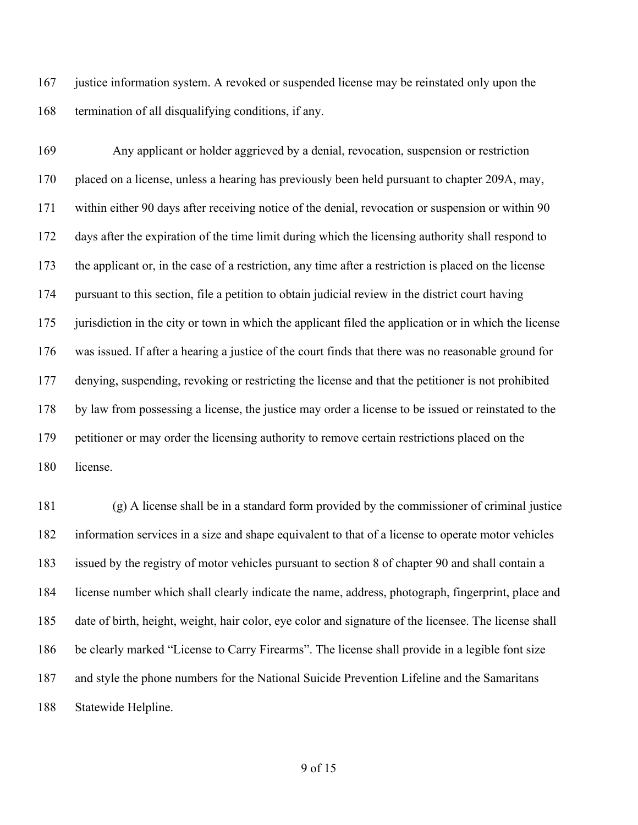justice information system. A revoked or suspended license may be reinstated only upon the termination of all disqualifying conditions, if any.

 Any applicant or holder aggrieved by a denial, revocation, suspension or restriction placed on a license, unless a hearing has previously been held pursuant to chapter 209A, may, within either 90 days after receiving notice of the denial, revocation or suspension or within 90 days after the expiration of the time limit during which the licensing authority shall respond to the applicant or, in the case of a restriction, any time after a restriction is placed on the license pursuant to this section, file a petition to obtain judicial review in the district court having jurisdiction in the city or town in which the applicant filed the application or in which the license was issued. If after a hearing a justice of the court finds that there was no reasonable ground for denying, suspending, revoking or restricting the license and that the petitioner is not prohibited by law from possessing a license, the justice may order a license to be issued or reinstated to the petitioner or may order the licensing authority to remove certain restrictions placed on the license.

 (g) A license shall be in a standard form provided by the commissioner of criminal justice information services in a size and shape equivalent to that of a license to operate motor vehicles issued by the registry of motor vehicles pursuant to section 8 of chapter 90 and shall contain a license number which shall clearly indicate the name, address, photograph, fingerprint, place and date of birth, height, weight, hair color, eye color and signature of the licensee. The license shall be clearly marked "License to Carry Firearms". The license shall provide in a legible font size and style the phone numbers for the National Suicide Prevention Lifeline and the Samaritans Statewide Helpline.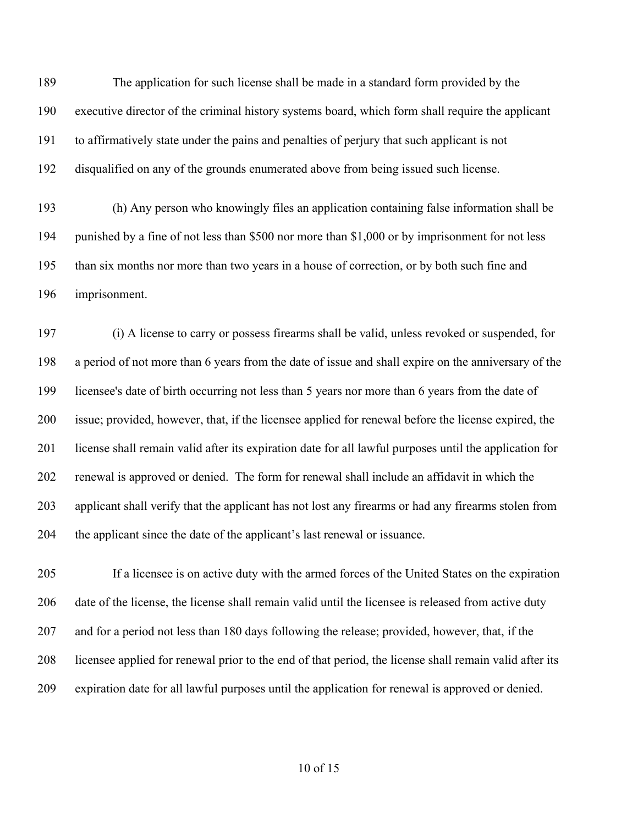The application for such license shall be made in a standard form provided by the executive director of the criminal history systems board, which form shall require the applicant to affirmatively state under the pains and penalties of perjury that such applicant is not disqualified on any of the grounds enumerated above from being issued such license.

 (h) Any person who knowingly files an application containing false information shall be punished by a fine of not less than \$500 nor more than \$1,000 or by imprisonment for not less than six months nor more than two years in a house of correction, or by both such fine and imprisonment.

 (i) A license to carry or possess firearms shall be valid, unless revoked or suspended, for a period of not more than 6 years from the date of issue and shall expire on the anniversary of the licensee's date of birth occurring not less than 5 years nor more than 6 years from the date of issue; provided, however, that, if the licensee applied for renewal before the license expired, the license shall remain valid after its expiration date for all lawful purposes until the application for renewal is approved or denied. The form for renewal shall include an affidavit in which the applicant shall verify that the applicant has not lost any firearms or had any firearms stolen from the applicant since the date of the applicant's last renewal or issuance.

 If a licensee is on active duty with the armed forces of the United States on the expiration date of the license, the license shall remain valid until the licensee is released from active duty and for a period not less than 180 days following the release; provided, however, that, if the licensee applied for renewal prior to the end of that period, the license shall remain valid after its expiration date for all lawful purposes until the application for renewal is approved or denied.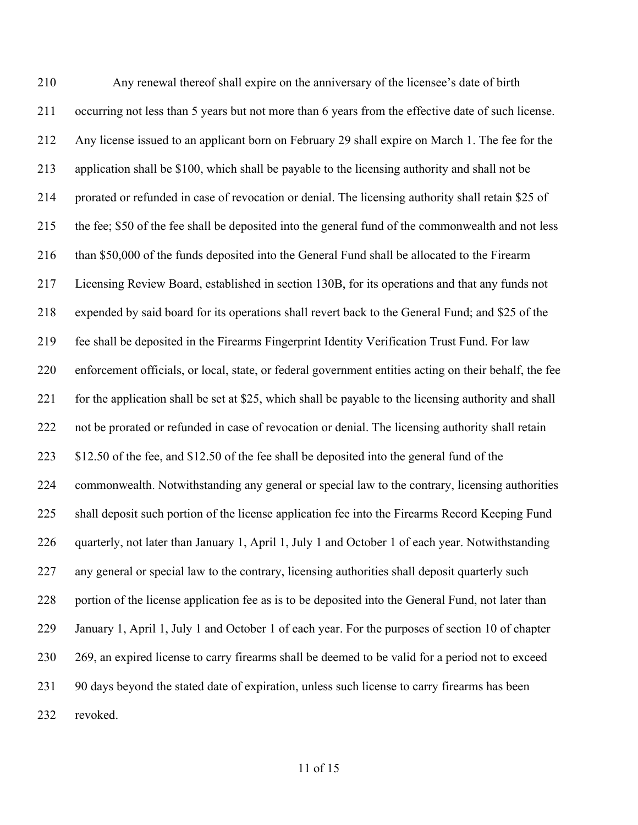Any renewal thereof shall expire on the anniversary of the licensee's date of birth occurring not less than 5 years but not more than 6 years from the effective date of such license. Any license issued to an applicant born on February 29 shall expire on March 1. The fee for the application shall be \$100, which shall be payable to the licensing authority and shall not be prorated or refunded in case of revocation or denial. The licensing authority shall retain \$25 of the fee; \$50 of the fee shall be deposited into the general fund of the commonwealth and not less than \$50,000 of the funds deposited into the General Fund shall be allocated to the Firearm Licensing Review Board, established in section 130B, for its operations and that any funds not expended by said board for its operations shall revert back to the General Fund; and \$25 of the fee shall be deposited in the Firearms Fingerprint Identity Verification Trust Fund. For law enforcement officials, or local, state, or federal government entities acting on their behalf, the fee for the application shall be set at \$25, which shall be payable to the licensing authority and shall not be prorated or refunded in case of revocation or denial. The licensing authority shall retain 223 \$12.50 of the fee, and \$12.50 of the fee shall be deposited into the general fund of the commonwealth. Notwithstanding any general or special law to the contrary, licensing authorities shall deposit such portion of the license application fee into the Firearms Record Keeping Fund quarterly, not later than January 1, April 1, July 1 and October 1 of each year. Notwithstanding any general or special law to the contrary, licensing authorities shall deposit quarterly such 228 portion of the license application fee as is to be deposited into the General Fund, not later than January 1, April 1, July 1 and October 1 of each year. For the purposes of section 10 of chapter 269, an expired license to carry firearms shall be deemed to be valid for a period not to exceed 90 days beyond the stated date of expiration, unless such license to carry firearms has been revoked.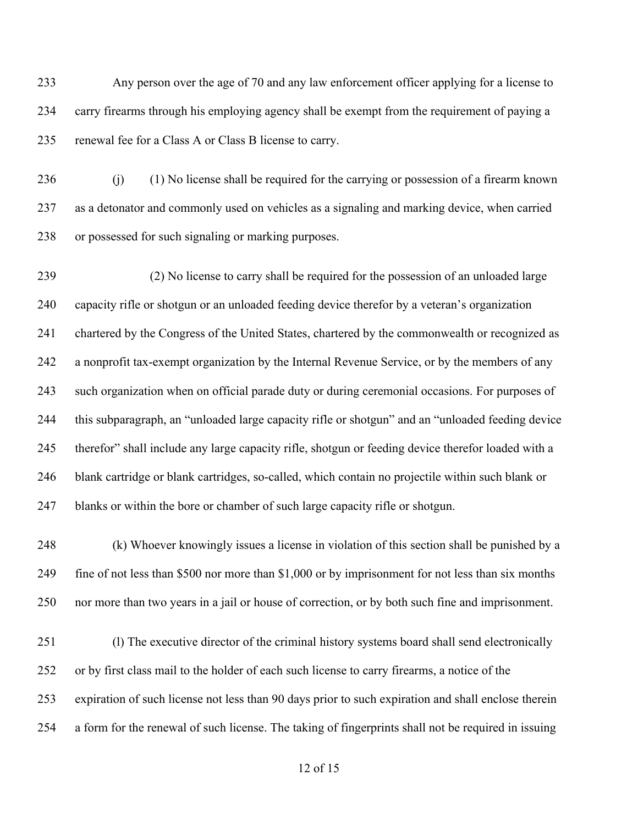Any person over the age of 70 and any law enforcement officer applying for a license to carry firearms through his employing agency shall be exempt from the requirement of paying a renewal fee for a Class A or Class B license to carry.

236 (j) (1) No license shall be required for the carrying or possession of a firearm known as a detonator and commonly used on vehicles as a signaling and marking device, when carried or possessed for such signaling or marking purposes.

 (2) No license to carry shall be required for the possession of an unloaded large capacity rifle or shotgun or an unloaded feeding device therefor by a veteran's organization chartered by the Congress of the United States, chartered by the commonwealth or recognized as a nonprofit tax-exempt organization by the Internal Revenue Service, or by the members of any such organization when on official parade duty or during ceremonial occasions. For purposes of this subparagraph, an "unloaded large capacity rifle or shotgun" and an "unloaded feeding device therefor" shall include any large capacity rifle, shotgun or feeding device therefor loaded with a blank cartridge or blank cartridges, so-called, which contain no projectile within such blank or blanks or within the bore or chamber of such large capacity rifle or shotgun.

 (k) Whoever knowingly issues a license in violation of this section shall be punished by a fine of not less than \$500 nor more than \$1,000 or by imprisonment for not less than six months nor more than two years in a jail or house of correction, or by both such fine and imprisonment.

251 (l) The executive director of the criminal history systems board shall send electronically or by first class mail to the holder of each such license to carry firearms, a notice of the expiration of such license not less than 90 days prior to such expiration and shall enclose therein a form for the renewal of such license. The taking of fingerprints shall not be required in issuing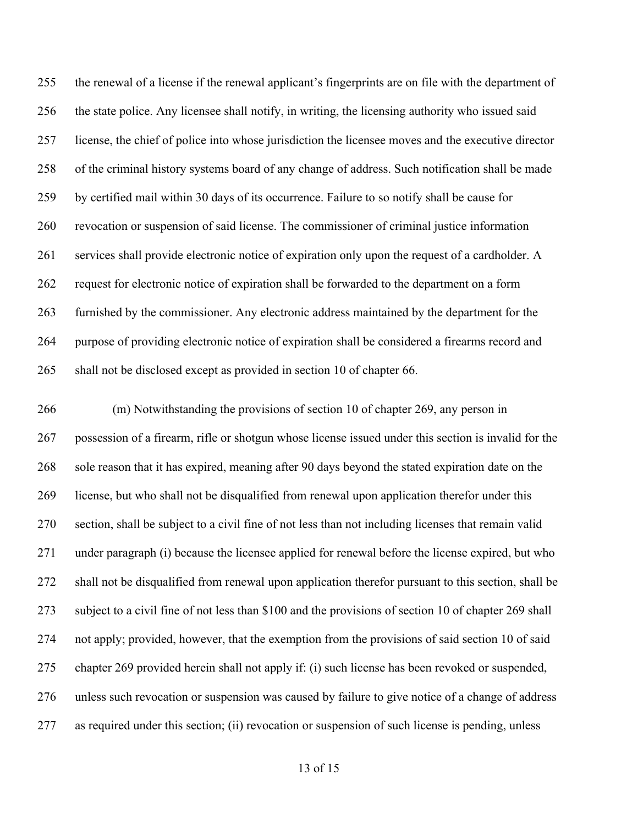the renewal of a license if the renewal applicant's fingerprints are on file with the department of the state police. Any licensee shall notify, in writing, the licensing authority who issued said license, the chief of police into whose jurisdiction the licensee moves and the executive director of the criminal history systems board of any change of address. Such notification shall be made by certified mail within 30 days of its occurrence. Failure to so notify shall be cause for revocation or suspension of said license. The commissioner of criminal justice information services shall provide electronic notice of expiration only upon the request of a cardholder. A request for electronic notice of expiration shall be forwarded to the department on a form furnished by the commissioner. Any electronic address maintained by the department for the purpose of providing electronic notice of expiration shall be considered a firearms record and shall not be disclosed except as provided in section 10 of chapter 66.

 (m) Notwithstanding the provisions of section 10 of chapter 269, any person in possession of a firearm, rifle or shotgun whose license issued under this section is invalid for the sole reason that it has expired, meaning after 90 days beyond the stated expiration date on the license, but who shall not be disqualified from renewal upon application therefor under this section, shall be subject to a civil fine of not less than not including licenses that remain valid under paragraph (i) because the licensee applied for renewal before the license expired, but who shall not be disqualified from renewal upon application therefor pursuant to this section, shall be subject to a civil fine of not less than \$100 and the provisions of section 10 of chapter 269 shall not apply; provided, however, that the exemption from the provisions of said section 10 of said chapter 269 provided herein shall not apply if: (i) such license has been revoked or suspended, unless such revocation or suspension was caused by failure to give notice of a change of address as required under this section; (ii) revocation or suspension of such license is pending, unless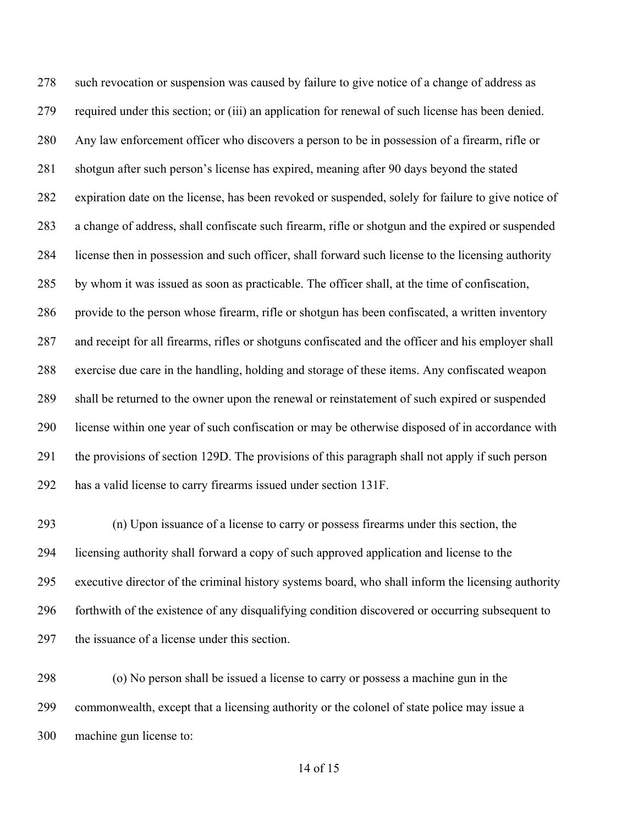such revocation or suspension was caused by failure to give notice of a change of address as required under this section; or (iii) an application for renewal of such license has been denied. Any law enforcement officer who discovers a person to be in possession of a firearm, rifle or shotgun after such person's license has expired, meaning after 90 days beyond the stated expiration date on the license, has been revoked or suspended, solely for failure to give notice of a change of address, shall confiscate such firearm, rifle or shotgun and the expired or suspended license then in possession and such officer, shall forward such license to the licensing authority by whom it was issued as soon as practicable. The officer shall, at the time of confiscation, provide to the person whose firearm, rifle or shotgun has been confiscated, a written inventory and receipt for all firearms, rifles or shotguns confiscated and the officer and his employer shall exercise due care in the handling, holding and storage of these items. Any confiscated weapon shall be returned to the owner upon the renewal or reinstatement of such expired or suspended license within one year of such confiscation or may be otherwise disposed of in accordance with the provisions of section 129D. The provisions of this paragraph shall not apply if such person has a valid license to carry firearms issued under section 131F.

 (n) Upon issuance of a license to carry or possess firearms under this section, the licensing authority shall forward a copy of such approved application and license to the executive director of the criminal history systems board, who shall inform the licensing authority forthwith of the existence of any disqualifying condition discovered or occurring subsequent to the issuance of a license under this section.

 (o) No person shall be issued a license to carry or possess a machine gun in the commonwealth, except that a licensing authority or the colonel of state police may issue a machine gun license to: